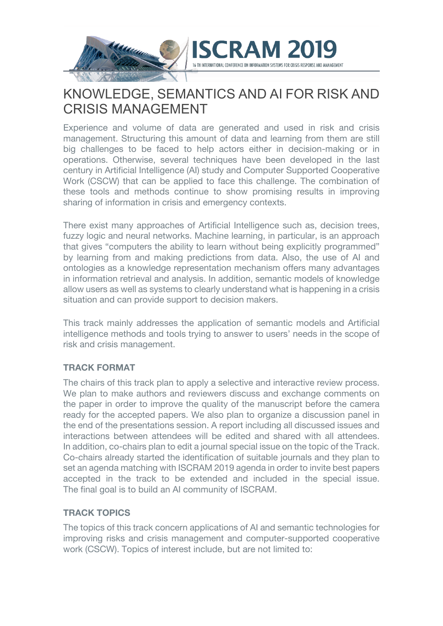

# KNOWLEDGE, SEMANTICS AND AI FOR RISK AND CRISIS MANAGEMENT

Experience and volume of data are generated and used in risk and crisis management. Structuring this amount of data and learning from them are still big challenges to be faced to help actors either in decision-making or in operations. Otherwise, several techniques have been developed in the last century in Artificial Intelligence (AI) study and Computer Supported Cooperative Work (CSCW) that can be applied to face this challenge. The combination of these tools and methods continue to show promising results in improving sharing of information in crisis and emergency contexts.

There exist many approaches of Artificial Intelligence such as, decision trees, fuzzy logic and neural networks. Machine learning, in particular, is an approach that gives "computers the ability to learn without being explicitly programmed" by learning from and making predictions from data. Also, the use of AI and ontologies as a knowledge representation mechanism offers many advantages in information retrieval and analysis. In addition, semantic models of knowledge allow users as well as systems to clearly understand what is happening in a crisis situation and can provide support to decision makers.

This track mainly addresses the application of semantic models and Artificial intelligence methods and tools trying to answer to users' needs in the scope of risk and crisis management.

## **TRACK FORMAT**

The chairs of this track plan to apply a selective and interactive review process. We plan to make authors and reviewers discuss and exchange comments on the paper in order to improve the quality of the manuscript before the camera ready for the accepted papers. We also plan to organize a discussion panel in the end of the presentations session. A report including all discussed issues and interactions between attendees will be edited and shared with all attendees. In addition, co-chairs plan to edit a journal special issue on the topic of the Track. Co-chairs already started the identification of suitable journals and they plan to set an agenda matching with ISCRAM 2019 agenda in order to invite best papers accepted in the track to be extended and included in the special issue. The final goal is to build an AI community of ISCRAM.

## **TRACK TOPICS**

The topics of this track concern applications of AI and semantic technologies for improving risks and crisis management and computer-supported cooperative work (CSCW). Topics of interest include, but are not limited to: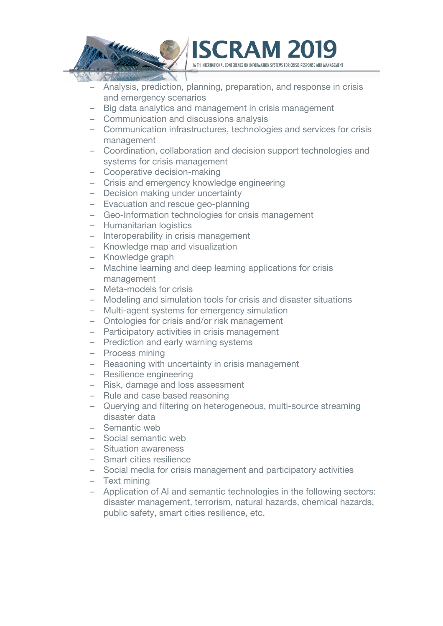



- Big data analytics and management in crisis management
- Communication and discussions analysis
- Communication infrastructures, technologies and services for crisis management
- Coordination, collaboration and decision support technologies and systems for crisis management
- Cooperative decision-making
- Crisis and emergency knowledge engineering
- Decision making under uncertainty
- Evacuation and rescue geo-planning
- Geo-Information technologies for crisis management
- Humanitarian logistics
- Interoperability in crisis management
- Knowledge map and visualization
- Knowledge graph
- Machine learning and deep learning applications for crisis management
- Meta-models for crisis
- Modeling and simulation tools for crisis and disaster situations
- Multi-agent systems for emergency simulation
- Ontologies for crisis and/or risk management
- Participatory activities in crisis management
- Prediction and early warning systems
- Process mining
- Reasoning with uncertainty in crisis management
- Resilience engineering
- Risk, damage and loss assessment
- Rule and case based reasoning
- Querying and filtering on heterogeneous, multi-source streaming disaster data
- Semantic web
- Social semantic web
- Situation awareness
- Smart cities resilience
- Social media for crisis management and participatory activities
- Text mining
- Application of AI and semantic technologies in the following sectors: disaster management, terrorism, natural hazards, chemical hazards, public safety, smart cities resilience, etc.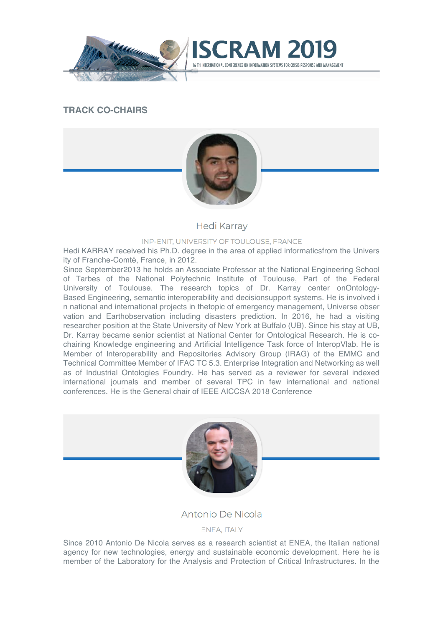





**CRAM2** 

**Hedi Karray** 

#### INP-ENIT, UNIVERSITY OF TOULOUSE, FRANCE

Hedi KARRAY received his Ph.D. degree in the area of applied informaticsfrom the Univers ity of Franche-Comté, France, in 2012.

Since September2013 he holds an Associate Professor at the National Engineering School of Tarbes of the National Polytechnic Institute of Toulouse, Part of the Federal University of Toulouse. The research topics of Dr. Karray center onOntology-Based Engineering, semantic interoperability and decisionsupport systems. He is involved i n national and international projects in thetopic of emergency management, Universe obser vation and Earthobservation including disasters prediction. In 2016, he had a visiting researcher position at the State University of New York at Buffalo (UB). Since his stay at UB, Dr. Karray became senior scientist at National Center for Ontological Research. He is cochairing Knowledge engineering and Artificial Intelligence Task force of InteropVlab. He is Member of Interoperability and Repositories Advisory Group (IRAG) of the EMMC and Technical Committee Member of IFAC TC 5.3. Enterprise Integration and Networking as well as of Industrial Ontologies Foundry. He has served as a reviewer for several indexed international journals and member of several TPC in few international and national conferences. He is the General chair of IEEE AICCSA 2018 Conference



Antonio De Nicola

ENEA, ITALY

Since 2010 Antonio De Nicola serves as a research scientist at ENEA, the Italian national agency for new technologies, energy and sustainable economic development. Here he is member of the Laboratory for the Analysis and Protection of Critical Infrastructures. In the